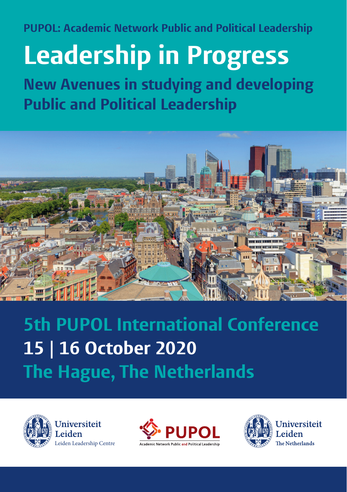**PUPOL: Academic Network Public and Political Leadership**

## **Leadership in Progress**

**New Avenues in studying and developing Public and Political Leadership** 



**5th PUPOL International Conference 15 | 16 October 2020 The Hague, The Netherlands**